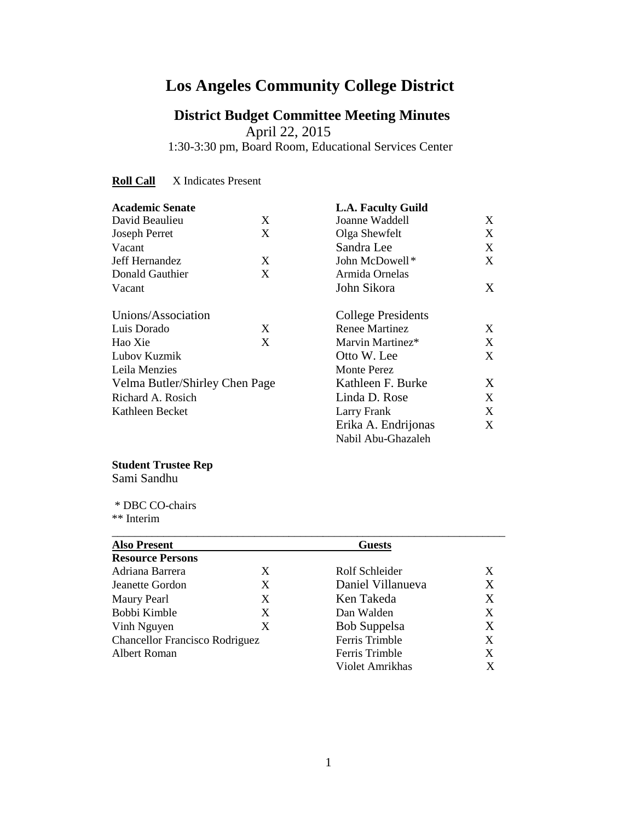# **Los Angeles Community College District**

 **District Budget Committee Meeting Minutes** April 22, 2015 1:30-3:30 pm, Board Room, Educational Services Center

**Roll Call** X Indicates Present

| <b>Academic Senate</b>         |   | <b>L.A. Faculty Guild</b> |                           |  |
|--------------------------------|---|---------------------------|---------------------------|--|
| David Beaulieu                 | X | Joanne Waddell            | X                         |  |
| <b>Joseph Perret</b>           | X | Olga Shewfelt             | X                         |  |
| Vacant                         |   | Sandra Lee                | X                         |  |
| Jeff Hernandez                 | X | John McDowell*            | X                         |  |
| Donald Gauthier                | X | Armida Ornelas            |                           |  |
| Vacant                         |   | John Sikora               | X                         |  |
| Unions/Association             |   |                           | <b>College Presidents</b> |  |
| Luis Dorado                    | X | <b>Renee Martinez</b>     | X                         |  |
| Hao Xie                        | X | Marvin Martinez*          | X                         |  |
| Lubov Kuzmik                   |   | Otto W. Lee               | X                         |  |
| Leila Menzies                  |   | Monte Perez               |                           |  |
| Velma Butler/Shirley Chen Page |   | Kathleen F. Burke         | X                         |  |
| Richard A. Rosich              |   | Linda D. Rose             | X                         |  |
| Kathleen Becket                |   | Larry Frank               | X                         |  |
|                                |   | Erika A. Endrijonas       | X                         |  |
|                                |   | Nabil Abu-Ghazaleh        |                           |  |

#### **Student Trustee Rep**

Sami Sandhu

 \* DBC CO-chairs \*\* Interim

| <b>Also Present</b>                   |   | <b>Guests</b>       |   |
|---------------------------------------|---|---------------------|---|
| <b>Resource Persons</b>               |   |                     |   |
| Adriana Barrera                       | X | Rolf Schleider      | X |
| Jeanette Gordon                       | X | Daniel Villanueva   | X |
| Maury Pearl                           | X | Ken Takeda          | X |
| Bobbi Kimble                          | X | Dan Walden          | X |
| Vinh Nguyen                           | X | <b>Bob Suppelsa</b> | X |
| <b>Chancellor Francisco Rodriguez</b> |   | Ferris Trimble      | X |
| Albert Roman                          |   | Ferris Trimble      | X |
|                                       |   | Violet Amrikhas     | X |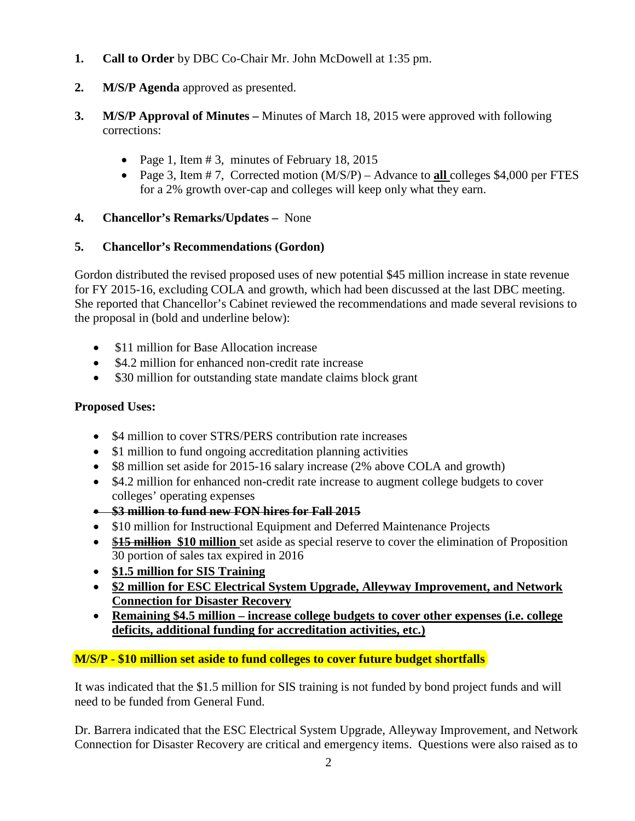- **1. Call to Order** by DBC Co-Chair Mr. John McDowell at 1:35 pm.
- **2. M/S/P Agenda** approved as presented.
- **3. M/S/P Approval of Minutes –** Minutes of March 18, 2015 were approved with following corrections:
	- Page 1, Item  $\# 3$ , minutes of February 18, 2015
	- Page 3, Item # 7, Corrected motion (M/S/P) Advance to **all** colleges \$4,000 per FTES for a 2% growth over-cap and colleges will keep only what they earn.

# **4. Chancellor's Remarks/Updates –** None

# **5. Chancellor's Recommendations (Gordon)**

Gordon distributed the revised proposed uses of new potential \$45 million increase in state revenue for FY 2015-16, excluding COLA and growth, which had been discussed at the last DBC meeting. She reported that Chancellor's Cabinet reviewed the recommendations and made several revisions to the proposal in (bold and underline below):

- \$11 million for Base Allocation increase
- \$4.2 million for enhanced non-credit rate increase
- \$30 million for outstanding state mandate claims block grant

# **Proposed Uses:**

- \$4 million to cover STRS/PERS contribution rate increases
- \$1 million to fund ongoing accreditation planning activities
- \$8 million set aside for 2015-16 salary increase (2% above COLA and growth)
- \$4.2 million for enhanced non-credit rate increase to augment college budgets to cover colleges' operating expenses
- **\$3 million to fund new FON hires for Fall 2015**
- \$10 million for Instructional Equipment and Deferred Maintenance Projects
- **\$15 million** \$10 million set aside as special reserve to cover the elimination of Proposition 30 portion of sales tax expired in 2016
- **\$1.5 million for SIS Training**
- **\$2 million for ESC Electrical System Upgrade, Alleyway Improvement, and Network Connection for Disaster Recovery**
- **Remaining \$4.5 million – increase college budgets to cover other expenses (i.e. college deficits, additional funding for accreditation activities, etc.)**

# **M/S/P - \$10 million set aside to fund colleges to cover future budget shortfalls**

It was indicated that the \$1.5 million for SIS training is not funded by bond project funds and will need to be funded from General Fund.

Dr. Barrera indicated that the ESC Electrical System Upgrade, Alleyway Improvement, and Network Connection for Disaster Recovery are critical and emergency items. Questions were also raised as to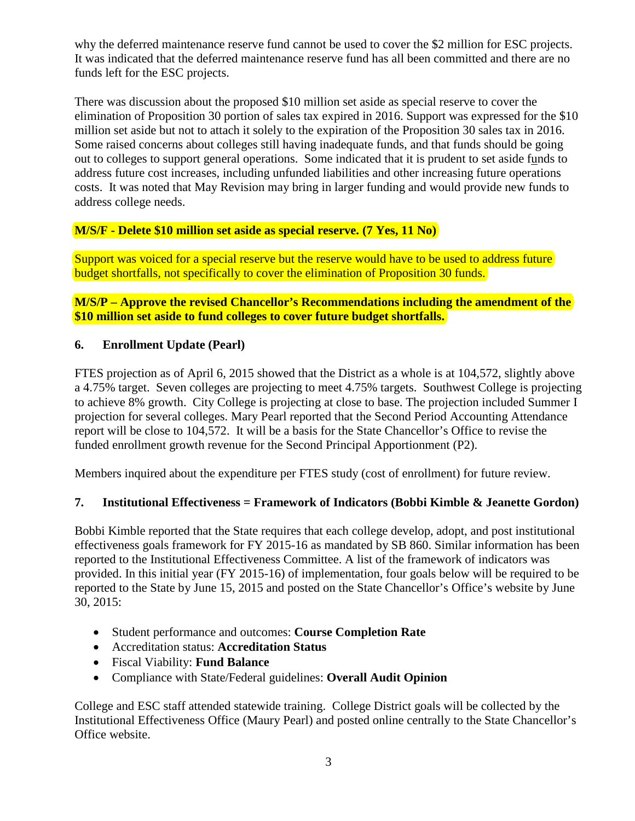why the deferred maintenance reserve fund cannot be used to cover the \$2 million for ESC projects. It was indicated that the deferred maintenance reserve fund has all been committed and there are no funds left for the ESC projects.

There was discussion about the proposed \$10 million set aside as special reserve to cover the elimination of Proposition 30 portion of sales tax expired in 2016. Support was expressed for the \$10 million set aside but not to attach it solely to the expiration of the Proposition 30 sales tax in 2016. Some raised concerns about colleges still having inadequate funds, and that funds should be going out to colleges to support general operations. Some indicated that it is prudent to set aside funds to address future cost increases, including unfunded liabilities and other increasing future operations costs. It was noted that May Revision may bring in larger funding and would provide new funds to address college needs.

# **M/S/F - Delete \$10 million set aside as special reserve. (7 Yes, 11 No)**

Support was voiced for a special reserve but the reserve would have to be used to address future budget shortfalls, not specifically to cover the elimination of Proposition 30 funds.

**M/S/P – Approve the revised Chancellor's Recommendations including the amendment of the \$10 million set aside to fund colleges to cover future budget shortfalls.**

#### **6. Enrollment Update (Pearl)**

FTES projection as of April 6, 2015 showed that the District as a whole is at 104,572, slightly above a 4.75% target. Seven colleges are projecting to meet 4.75% targets. Southwest College is projecting to achieve 8% growth. City College is projecting at close to base. The projection included Summer I projection for several colleges. Mary Pearl reported that the Second Period Accounting Attendance report will be close to 104,572. It will be a basis for the State Chancellor's Office to revise the funded enrollment growth revenue for the Second Principal Apportionment (P2).

Members inquired about the expenditure per FTES study (cost of enrollment) for future review.

# **7. Institutional Effectiveness = Framework of Indicators (Bobbi Kimble & Jeanette Gordon)**

Bobbi Kimble reported that the State requires that each college develop, adopt, and post institutional effectiveness goals framework for FY 2015-16 as mandated by SB 860. Similar information has been reported to the Institutional Effectiveness Committee. A list of the framework of indicators was provided. In this initial year (FY 2015-16) of implementation, four goals below will be required to be reported to the State by June 15, 2015 and posted on the State Chancellor's Office's website by June 30, 2015:

- Student performance and outcomes: **Course Completion Rate**
- Accreditation status: **Accreditation Status**
- Fiscal Viability: **Fund Balance**
- Compliance with State/Federal guidelines: **Overall Audit Opinion**

College and ESC staff attended statewide training. College District goals will be collected by the Institutional Effectiveness Office (Maury Pearl) and posted online centrally to the State Chancellor's Office website.